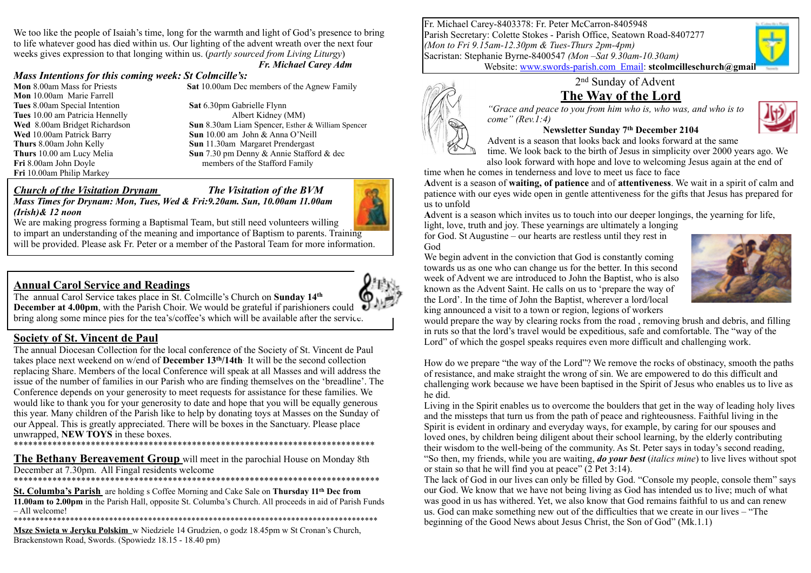We too like the people of Isaiah's time, long for the warmth and light of God's presence to bring to life whatever good has died within us. Our lighting of the advent wreath over the next four weeks gives expression to that longing within us. (*partly sourced from Living Liturgy*)

#### *Fr. Michael Carey Adm*

#### *Mass Intentions for this coming week: St Colmcille's:*

**Mon** 10.00am Marie Farrell **Tues** 8.00am Special Intention **Sat** 6.30pm Gabrielle Flynn **Tues** 10.00 am Patricia Hennelly Albert Kidney (MM) **Fri** 10.00am Philip Markey

**Mon** 8.00am Mass for Priests **Sat** 10.00am Dec members of the Agnew Family

**Wed** 8.00am Bridget Richardson **Sun** 8.30am Liam Spencer, Esther & William Spencer **Wed** 10.00am Patrick Barry **Sun** 10.00 am John & Anna O'Neill **Thurs 8.00am John Kelly <b>Sun 11.30am Margaret Prendergast**<br> **Thurs 10.00 am Lucy Melia Sun 7.30 pm Denny & Annie Staffor Sun** 7.30 pm Denny & Annie Stafford & dec **Fri** 8.00am John Doyle members of the Stafford Family

#### *Church of the Visitation Drynam**The Visitation of the BVM*



*Mass Times for Drynam: Mon, Tues, Wed & Fri:9.20am. Sun, 10.00am 11.00am (Irish)& 12 noon*

We are making progress forming a Baptismal Team, but still need volunteers willing to impart an understanding of the meaning and importance of Baptism to parents. Training will be provided. Please ask Fr. Peter or a member of the Pastoral Team for more information.

### **Annual Carol Service and Readings**



The annual Carol Service takes place in St. Colmcille's Church on **Sunday 14th December at 4.00pm**, with the Parish Choir. We would be grateful if parishioners could bring along some mince pies for the tea's/coffee's which will be available after the service.

### **Society of St. Vincent de Paul**

The annual Diocesan Collection for the local conference of the Society of St. Vincent de Paul takes place next weekend on w/end of **December 13th/14th**. It will be the second collection replacing Share. Members of the local Conference will speak at all Masses and will address the issue of the number of families in our Parish who are finding themselves on the 'breadline'. The Conference depends on your generosity to meet requests for assistance for these families. We would like to thank you for your generosity to date and hope that you will be equally generous this year. Many children of the Parish like to help by donating toys at Masses on the Sunday of our Appeal. This is greatly appreciated. There will be boxes in the Sanctuary. Please place unwrapped, **NEW TOYS** in these boxes. \*\*\*\*\*\*\*\*\*\*\*\*\*\*\*\*\*\*\*\*\*\*\*\*\*\*\*\*\*\*\*\*\*\*\*\*\*\*\*\*\*\*\*\*\*\*\*\*\*\*\*\*\*\*\*\*\*\*\*\*\*\*\*\*\*\*\*\*\*\*\*\*\*\*\*

**The Bethany Bereavement Group** will meet in the parochial House on Monday 8th December at 7.30pm. All Fingal residents welcome

\*\*\*\*\*\*\*\*\*\*\*\*\*\*\*\*\*\*\*\*\*\*\*\*\*\*\*\*\*\*\*\*\*\*\*\*\*\*\*\*\*\*\*\*\*\*\*\*\*\*\*\*\*\*\*\*\*\*\*\*\*\*\*\*\*\*\*\*\*\*\*\*\*\*\*\*

**St. Columba's Parish** are holding s Coffee Morning and Cake Sale on **Thursday 11th Dec from 11.00am to 2.00pm** in the Parish Hall, opposite St. Columba's Church. All proceeds in aid of Parish Funds – All welcome!

\*\*\*\*\*\*\*\*\*\*\*\*\*\*\*\*\*\*\*\*\*\*\*\*\*\*\*\*\*\*\*\*\*\*\*\*\*\*\*\*\*\*\*\*\*\*\*\*\*\*\*\*\*\*\*\*\*\*\*\*\*\*\*\*\*\*\*\*\*\*\*\*\*\*\*\*\*\*\*\*\*\*\*\*

**Msze Swieta w Jeryku Polskim** w Niedziele 14 Grudzien, o godz 18.45pm w St Cronan's Church, Brackenstown Road, Swords. (Spowiedz 18.15 - 18.40 pm)

Fr. Michael Carey-8403378: Fr. Peter McCarron-8405948 Parish Secretary: Colette Stokes - Parish Office, Seatown Road-8407277 *(Mon to Fri 9.15am-12.30pm & Tues-Thurs 2pm-4pm)* Sacristan: Stephanie Byrne-8400547 *(Mon –Sat 9.30am-10.30am)* Website: [www.swords-parish.com Email](http://www.swords-parish.com%20%20email): **stcolmcilleschurch@gmail** 

2nd Sunday of Advent

# **The Way of the Lord**

*"Grace and peace to you from him who is, who was, and who is to come" (Rev.1:4)*



### **Newsletter Sunday 7th December 2104**

Advent is a season that looks back and looks forward at the same

time. We look back to the birth of Jesus in simplicity over 2000 years ago. We also look forward with hope and love to welcoming Jesus again at the end of time when he comes in tenderness and love to meet us face to face

**A**dvent is a season of **waiting, of patience** and of **attentiveness**. We wait in a spirit of calm and patience with our eyes wide open in gentle attentiveness for the gifts that Jesus has prepared for us to unfold

**A**dvent is a season which invites us to touch into our deeper longings, the yearning for life,

light, love, truth and joy. These yearnings are ultimately a longing for God. St Augustine – our hearts are restless until they rest in God

We begin advent in the conviction that God is constantly coming towards us as one who can change us for the better. In this second week of Advent we are introduced to John the Baptist, who is also known as the Advent Saint. He calls on us to 'prepare the way of the Lord'. In the time of John the Baptist, wherever a lord/local king announced a visit to a town or region, legions of workers



would prepare the way by clearing rocks from the road , removing brush and debris, and filling in ruts so that the lord's travel would be expeditious, safe and comfortable. The "way of the Lord" of which the gospel speaks requires even more difficult and challenging work.

How do we prepare "the way of the Lord"? We remove the rocks of obstinacy, smooth the paths of resistance, and make straight the wrong of sin. We are empowered to do this difficult and challenging work because we have been baptised in the Spirit of Jesus who enables us to live as he did.

Living in the Spirit enables us to overcome the boulders that get in the way of leading holy lives and the missteps that turn us from the path of peace and righteousness. Faithful living in the Spirit is evident in ordinary and everyday ways, for example, by caring for our spouses and loved ones, by children being diligent about their school learning, by the elderly contributing their wisdom to the well-being of the community. As St. Peter says in today's second reading, "So then, my friends, while you are waiting, *do your best* (*italics mine*) to live lives without spot or stain so that he will find you at peace" (2 Pet 3:14).

The lack of God in our lives can only be filled by God. "Console my people, console them" says our God. We know that we have not being living as God has intended us to live; much of what was good in us has withered. Yet, we also know that God remains faithful to us and can renew us. God can make something new out of the difficulties that we create in our lives – "The beginning of the Good News about Jesus Christ, the Son of God" (Mk.1.1)